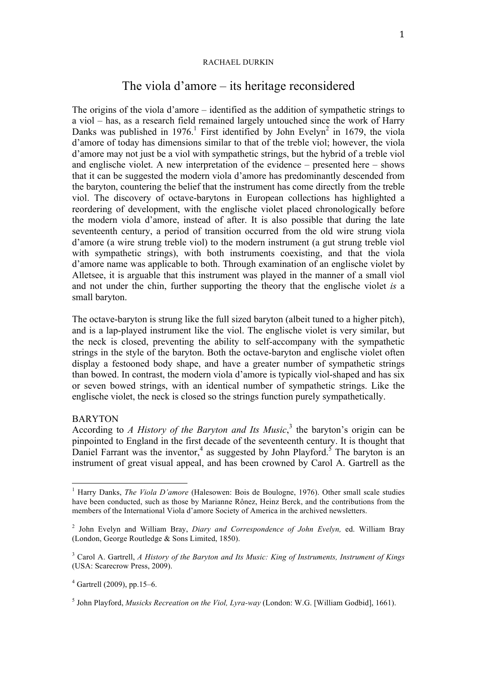#### RACHAEL DURKIN

# The viola d'amore – its heritage reconsidered

The origins of the viola d'amore – identified as the addition of sympathetic strings to a viol – has, as a research field remained largely untouched since the work of Harry Danks was published in 1976.<sup>1</sup> First identified by John Evelyn<sup>2</sup> in 1679, the viola d'amore of today has dimensions similar to that of the treble viol; however, the viola d'amore may not just be a viol with sympathetic strings, but the hybrid of a treble viol and englische violet. A new interpretation of the evidence – presented here – shows that it can be suggested the modern viola d'amore has predominantly descended from the baryton, countering the belief that the instrument has come directly from the treble viol. The discovery of octave-barytons in European collections has highlighted a reordering of development, with the englische violet placed chronologically before the modern viola d'amore, instead of after. It is also possible that during the late seventeenth century, a period of transition occurred from the old wire strung viola d'amore (a wire strung treble viol) to the modern instrument (a gut strung treble viol with sympathetic strings), with both instruments coexisting, and that the viola d'amore name was applicable to both. Through examination of an englische violet by Alletsee, it is arguable that this instrument was played in the manner of a small viol and not under the chin, further supporting the theory that the englische violet *is* a small baryton.

The octave-baryton is strung like the full sized baryton (albeit tuned to a higher pitch), and is a lap-played instrument like the viol. The englische violet is very similar, but the neck is closed, preventing the ability to self-accompany with the sympathetic strings in the style of the baryton. Both the octave-baryton and englische violet often display a festooned body shape, and have a greater number of sympathetic strings than bowed. In contrast, the modern viola d'amore is typically viol-shaped and has six or seven bowed strings, with an identical number of sympathetic strings. Like the englische violet, the neck is closed so the strings function purely sympathetically.

## BARYTON

According to *A History of the Baryton and Its Music*, <sup>3</sup> the baryton's origin can be pinpointed to England in the first decade of the seventeenth century. It is thought that Daniel Farrant was the inventor,<sup>4</sup> as suggested by John Playford.<sup>5</sup> The baryton is an instrument of great visual appeal, and has been crowned by Carol A. Gartrell as the

<sup>&</sup>lt;sup>1</sup> Harry Danks, *The Viola D'amore* (Halesowen: Bois de Boulogne, 1976). Other small scale studies have been conducted, such as those by Marianne Rônez, Heinz Berck, and the contributions from the members of the International Viola d'amore Society of America in the archived newsletters.

<sup>2</sup> John Evelyn and William Bray, *Diary and Correspondence of John Evelyn,* ed. William Bray (London, George Routledge & Sons Limited, 1850).

<sup>3</sup> Carol A. Gartrell, *A History of the Baryton and Its Music: King of Instruments, Instrument of Kings* (USA: Scarecrow Press, 2009).

 $4$  Gartrell (2009), pp.15–6.

<sup>5</sup> John Playford, *Musicks Recreation on the Viol, Lyra-way* (London: W.G. [William Godbid], 1661).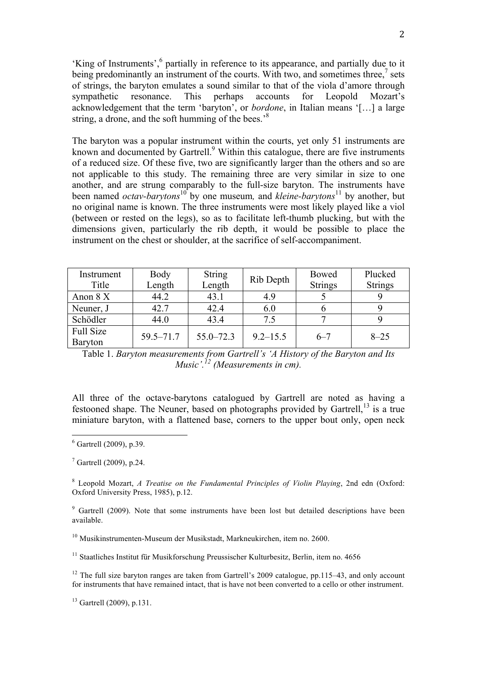'King of Instruments',<sup>6</sup> partially in reference to its appearance, and partially due to it being predominantly an instrument of the courts. With two, and sometimes three,<sup>7</sup> sets of strings, the baryton emulates a sound similar to that of the viola d'amore through sympathetic resonance. This perhaps accounts for Leopold Mozart's acknowledgement that the term 'baryton', or *bordone*, in Italian means '[…] a large string, a drone, and the soft humming of the bees.<sup>8</sup>

The baryton was a popular instrument within the courts, yet only 51 instruments are known and documented by Gartrell.<sup>9</sup> Within this catalogue, there are five instruments of a reduced size. Of these five, two are significantly larger than the others and so are not applicable to this study. The remaining three are very similar in size to one another, and are strung comparably to the full-size baryton. The instruments have been named *octav-barytons*<sup>10</sup> by one museum, and *kleine-barytons*<sup>11</sup> by another, but no original name is known. The three instruments were most likely played like a viol (between or rested on the legs), so as to facilitate left-thumb plucking, but with the dimensions given, particularly the rib depth, it would be possible to place the instrument on the chest or shoulder, at the sacrifice of self-accompaniment.

| Instrument       | Body          | <b>String</b> | Rib Depth    | Bowed          | Plucked        |
|------------------|---------------|---------------|--------------|----------------|----------------|
| Title            | Length        | Length        |              | <b>Strings</b> | <b>Strings</b> |
| Anon $8X$        | 44.2          | 43.1          | 4.9          |                |                |
| Neuner, J        | 42.7          | 42.4          | 6.0          |                |                |
| Schödler         | 44.0          | 43.4          | 7.5          |                |                |
| <b>Full Size</b> | $59.5 - 71.7$ | $55.0 - 72.3$ | $9.2 - 15.5$ | $6 - 7$        | $8 - 25$       |
| <b>Baryton</b>   |               |               |              |                |                |

Table 1. *Baryton measurements from Gartrell's 'A History of the Baryton and Its Music'. <sup>12</sup> (Measurements in cm).*

All three of the octave-barytons catalogued by Gartrell are noted as having a festooned shape. The Neuner, based on photographs provided by Gartrell,<sup>13</sup> is a true miniature baryton, with a flattened base, corners to the upper bout only, open neck

<sup>8</sup> Leopold Mozart, *A Treatise on the Fundamental Principles of Violin Playing*, 2nd edn (Oxford: Oxford University Press, 1985), p.12.

 $9$  Gartrell (2009). Note that some instruments have been lost but detailed descriptions have been available.

<sup>10</sup> Musikinstrumenten-Museum der Musikstadt, Markneukirchen, item no. 2600.

<sup>11</sup> Staatliches Institut für Musikforschung Preussischer Kulturbesitz, Berlin, item no. 4656

 $12$  The full size baryton ranges are taken from Gartrell's 2009 catalogue, pp.115–43, and only account for instruments that have remained intact, that is have not been converted to a cello or other instrument.

<sup>13</sup> Gartrell (2009), p.131.

 $6$  Gartrell (2009), p.39.

 $7$  Gartrell (2009), p.24.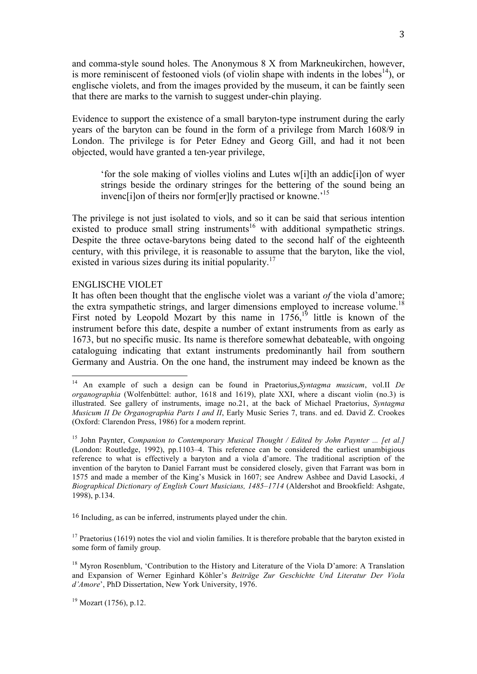and comma-style sound holes. The Anonymous 8 X from Markneukirchen, however, is more reminiscent of festooned viols (of violin shape with indents in the lobes<sup>14</sup>), or englische violets, and from the images provided by the museum, it can be faintly seen that there are marks to the varnish to suggest under-chin playing.

Evidence to support the existence of a small baryton-type instrument during the early years of the baryton can be found in the form of a privilege from March 1608/9 in London. The privilege is for Peter Edney and Georg Gill, and had it not been objected, would have granted a ten-year privilege,

'for the sole making of violles violins and Lutes w[i]th an addic[i]on of wyer strings beside the ordinary stringes for the bettering of the sound being an invence ilon of theirs nor form [er] ly practised or knowne.<sup>15</sup>

The privilege is not just isolated to viols, and so it can be said that serious intention existed to produce small string instruments<sup>16</sup> with additional sympathetic strings. Despite the three octave-barytons being dated to the second half of the eighteenth century, with this privilege, it is reasonable to assume that the baryton, like the viol, existed in various sizes during its initial popularity.<sup>17</sup>

## ENGLISCHE VIOLET

It has often been thought that the englische violet was a variant *of* the viola d'amore; the extra sympathetic strings, and larger dimensions employed to increase volume.<sup>18</sup> First noted by Leopold Mozart by this name in  $1756$ ,<sup>19</sup> little is known of the instrument before this date, despite a number of extant instruments from as early as 1673, but no specific music. Its name is therefore somewhat debateable, with ongoing cataloguing indicating that extant instruments predominantly hail from southern Germany and Austria. On the one hand, the instrument may indeed be known as the

<sup>16</sup> Including, as can be inferred, instruments played under the chin.

 $17$  Praetorius (1619) notes the viol and violin families. It is therefore probable that the baryton existed in some form of family group.

<sup>18</sup> Myron Rosenblum, 'Contribution to the History and Literature of the Viola D'amore: A Translation and Expansion of Werner Eginhard Köhler's *Beiträge Zur Geschichte Und Literatur Der Viola d'Amore*', PhD Dissertation, New York University, 1976.

 $19$  Mozart (1756), p.12.

 <sup>14</sup> An example of such a design can be found in Praetorius,*Syntagma musicum*, vol.II *De organographia* (Wolfenbüttel: author, 1618 and 1619), plate XXI, where a discant violin (no.3) is illustrated. See gallery of instruments, image no.21, at the back of Michael Praetorius, *Syntagma Musicum II De Organographia Parts I and II*, Early Music Series 7, trans. and ed. David Z. Crookes (Oxford: Clarendon Press, 1986) for a modern reprint.

<sup>15</sup> John Paynter, *Companion to Contemporary Musical Thought / Edited by John Paynter ... [et al.]* (London: Routledge, 1992), pp.1103–4. This reference can be considered the earliest unambigious reference to what is effectively a baryton and a viola d'amore. The traditional ascription of the invention of the baryton to Daniel Farrant must be considered closely, given that Farrant was born in 1575 and made a member of the King's Musick in 1607; see Andrew Ashbee and David Lasocki, *A Biographical Dictionary of English Court Musicians, 1485–1714* (Aldershot and Brookfield: Ashgate, 1998), p.134.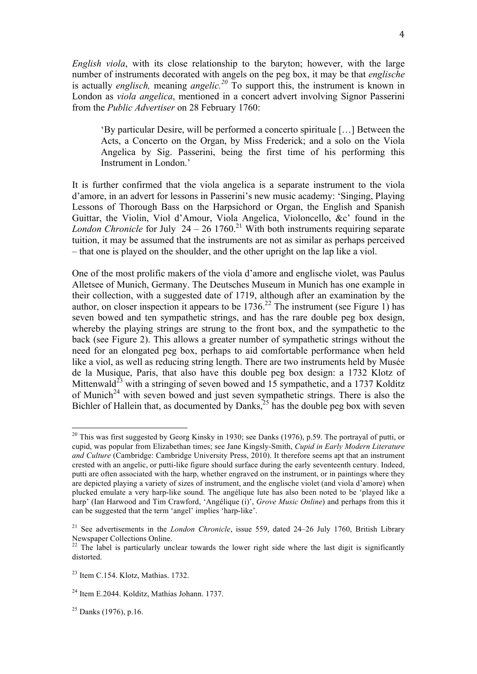*English viola*, with its close relationship to the baryton; however, with the large number of instruments decorated with angels on the peg box, it may be that *englische* is actually *englisch,* meaning *angelic. <sup>20</sup>* To support this, the instrument is known in London as *viola angelica*, mentioned in a concert advert involving Signor Passerini from the *Public Advertiser* on 28 February 1760:

'By particular Desire, will be performed a concerto spirituale […] Between the Acts, a Concerto on the Organ, by Miss Frederick; and a solo on the Viola Angelica by Sig. Passerini, being the first time of his performing this Instrument in London.'

It is further confirmed that the viola angelica is a separate instrument to the viola d'amore, in an advert for lessons in Passerini's new music academy: 'Singing, Playing Lessons of Thorough Bass on the Harpsichord or Organ, the English and Spanish Guittar, the Violin, Viol d'Amour, Viola Angelica, Violoncello, &c' found in the *London Chronicle* for July  $24 - 26$  1760.<sup>21</sup> With both instruments requiring separate tuition, it may be assumed that the instruments are not as similar as perhaps perceived – that one is played on the shoulder, and the other upright on the lap like a viol.

One of the most prolific makers of the viola d'amore and englische violet, was Paulus Alletsee of Munich, Germany. The Deutsches Museum in Munich has one example in their collection, with a suggested date of 1719, although after an examination by the author, on closer inspection it appears to be  $1736$ <sup>22</sup>. The instrument (see Figure 1) has seven bowed and ten sympathetic strings, and has the rare double peg box design, whereby the playing strings are strung to the front box, and the sympathetic to the back (see Figure 2). This allows a greater number of sympathetic strings without the need for an elongated peg box, perhaps to aid comfortable performance when held like a viol, as well as reducing string length. There are two instruments held by Musée de la Musique, Paris, that also have this double peg box design: a 1732 Klotz of Mittenwald<sup>23</sup> with a stringing of seven bowed and 15 sympathetic, and a 1737 Kolditz of Munich<sup>24</sup> with seven bowed and just seven sympathetic strings. There is also the Bichler of Hallein that, as documented by Danks, $^{25}$  has the double peg box with seven

<sup>&</sup>lt;sup>20</sup> This was first suggested by Georg Kinsky in 1930; see Danks (1976), p.59. The portrayal of putti, or cupid, was popular from Elizabethan times; see Jane Kingsly-Smith, *Cupid in Early Modern Literature and Culture* (Cambridge: Cambridge University Press, 2010). It therefore seems apt that an instrument crested with an angelic, or putti-like figure should surface during the early seventeenth century. Indeed, putti are often associated with the harp, whether engraved on the instrument, or in paintings where they are depicted playing a variety of sizes of instrument, and the englische violet (and viola d'amore) when plucked emulate a very harp-like sound. The angélique lute has also been noted to be 'played like a harp' (Ian Harwood and Tim Crawford, 'Angélique (i)', *Grove Music Online*) and perhaps from this it can be suggested that the term 'angel' implies 'harp-like'.

<sup>&</sup>lt;sup>21</sup> See advertisements in the *London Chronicle*, issue 559, dated 24–26 July 1760, British Library Newspaper Collections Online.

 $22$  The label is particularly unclear towards the lower right side where the last digit is significantly distorted.

 $23$  Item C.154. Klotz, Mathias. 1732.

<sup>24</sup> Item E.2044. Kolditz, Mathias Johann. 1737.

 $25$  Danks (1976), p.16.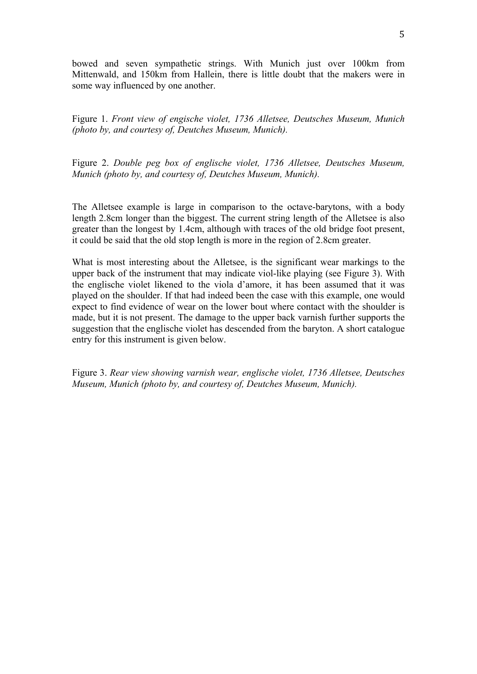bowed and seven sympathetic strings. With Munich just over 100km from Mittenwald, and 150km from Hallein, there is little doubt that the makers were in some way influenced by one another.

Figure 1. *Front view of engische violet, 1736 Alletsee, Deutsches Museum, Munich (photo by, and courtesy of, Deutches Museum, Munich).*

Figure 2. *Double peg box of englische violet, 1736 Alletsee, Deutsches Museum, Munich (photo by, and courtesy of, Deutches Museum, Munich).*

The Alletsee example is large in comparison to the octave-barytons, with a body length 2.8cm longer than the biggest. The current string length of the Alletsee is also greater than the longest by 1.4cm, although with traces of the old bridge foot present, it could be said that the old stop length is more in the region of 2.8cm greater.

What is most interesting about the Alletsee, is the significant wear markings to the upper back of the instrument that may indicate viol-like playing (see Figure 3). With the englische violet likened to the viola d'amore, it has been assumed that it was played on the shoulder. If that had indeed been the case with this example, one would expect to find evidence of wear on the lower bout where contact with the shoulder is made, but it is not present. The damage to the upper back varnish further supports the suggestion that the englische violet has descended from the baryton. A short catalogue entry for this instrument is given below.

Figure 3. *Rear view showing varnish wear, englische violet, 1736 Alletsee, Deutsches Museum, Munich (photo by, and courtesy of, Deutches Museum, Munich).*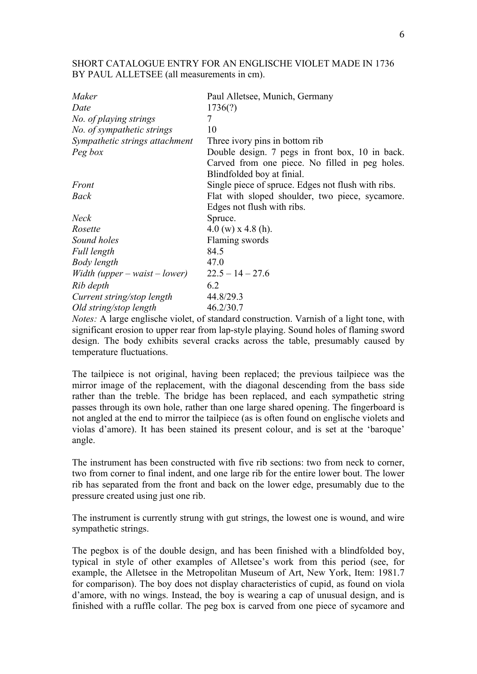SHORT CATALOGUE ENTRY FOR AN ENGLISCHE VIOLET MADE IN 1736 BY PAUL ALLETSEE (all measurements in cm).

| Maker                             | Paul Alletsee, Munich, Germany                     |  |  |
|-----------------------------------|----------------------------------------------------|--|--|
| Date                              | 1736(?)                                            |  |  |
| No. of playing strings            | 7                                                  |  |  |
| No. of sympathetic strings        | 10                                                 |  |  |
| Sympathetic strings attachment    | Three ivory pins in bottom rib                     |  |  |
| Peg box                           | Double design. 7 pegs in front box, 10 in back.    |  |  |
|                                   | Carved from one piece. No filled in peg holes.     |  |  |
|                                   | Blindfolded boy at finial.                         |  |  |
| Front                             | Single piece of spruce. Edges not flush with ribs. |  |  |
| <b>Back</b>                       | Flat with sloped shoulder, two piece, sycamore.    |  |  |
|                                   | Edges not flush with ribs.                         |  |  |
| <b>Neck</b>                       | Spruce.                                            |  |  |
| Rosette                           | $4.0 \text{ (w)} \times 4.8 \text{ (h)}$ .         |  |  |
| Sound holes                       | Flaming swords                                     |  |  |
| Full length                       | 84.5                                               |  |  |
| Body length                       | 47.0                                               |  |  |
| Width (upper $-$ waist $-$ lower) | $22.5 - 14 - 27.6$                                 |  |  |
| Rib depth                         | 6.2                                                |  |  |
| Current string/stop length        | 44.8/29.3                                          |  |  |
| Old string/stop length            | 46.2/30.7                                          |  |  |

*Notes:* A large englische violet, of standard construction. Varnish of a light tone, with significant erosion to upper rear from lap-style playing. Sound holes of flaming sword design. The body exhibits several cracks across the table, presumably caused by temperature fluctuations.

The tailpiece is not original, having been replaced; the previous tailpiece was the mirror image of the replacement, with the diagonal descending from the bass side rather than the treble. The bridge has been replaced, and each sympathetic string passes through its own hole, rather than one large shared opening. The fingerboard is not angled at the end to mirror the tailpiece (as is often found on englische violets and violas d'amore). It has been stained its present colour, and is set at the 'baroque' angle.

The instrument has been constructed with five rib sections: two from neck to corner, two from corner to final indent, and one large rib for the entire lower bout. The lower rib has separated from the front and back on the lower edge, presumably due to the pressure created using just one rib.

The instrument is currently strung with gut strings, the lowest one is wound, and wire sympathetic strings.

The pegbox is of the double design, and has been finished with a blindfolded boy, typical in style of other examples of Alletsee's work from this period (see, for example, the Alletsee in the Metropolitan Museum of Art, New York, Item: 1981.7 for comparison). The boy does not display characteristics of cupid, as found on viola d'amore, with no wings. Instead, the boy is wearing a cap of unusual design, and is finished with a ruffle collar. The peg box is carved from one piece of sycamore and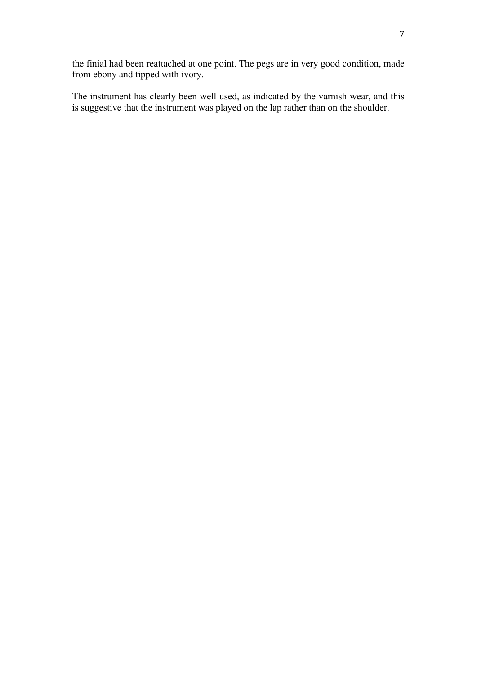the finial had been reattached at one point. The pegs are in very good condition, made from ebony and tipped with ivory.

The instrument has clearly been well used, as indicated by the varnish wear, and this is suggestive that the instrument was played on the lap rather than on the shoulder.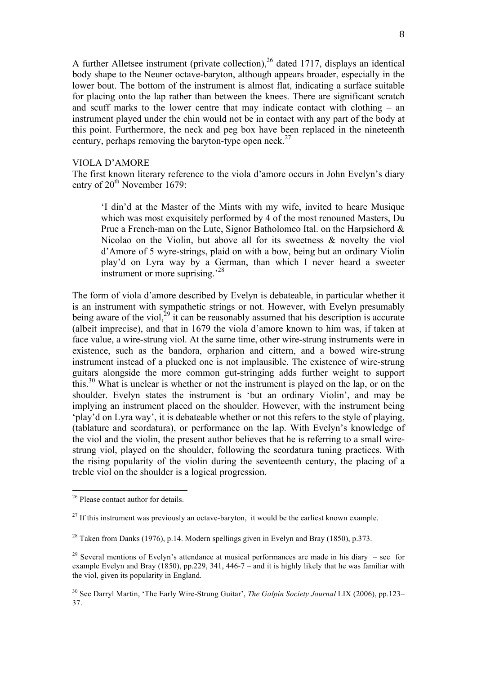A further Alletsee instrument (private collection),<sup>26</sup> dated 1717, displays an identical body shape to the Neuner octave-baryton, although appears broader, especially in the lower bout. The bottom of the instrument is almost flat, indicating a surface suitable for placing onto the lap rather than between the knees. There are significant scratch and scuff marks to the lower centre that may indicate contact with clothing – an instrument played under the chin would not be in contact with any part of the body at this point. Furthermore, the neck and peg box have been replaced in the nineteenth century, perhaps removing the baryton-type open neck.<sup>27</sup>

## VIOLA D'AMORE

The first known literary reference to the viola d'amore occurs in John Evelyn's diary entry of 20<sup>th</sup> November 1679:

'I din'd at the Master of the Mints with my wife, invited to heare Musique which was most exquisitely performed by 4 of the most renouned Masters, Du Prue a French-man on the Lute, Signor Batholomeo Ital. on the Harpsichord & Nicolao on the Violin, but above all for its sweetness & novelty the viol d'Amore of 5 wyre-strings, plaid on with a bow, being but an ordinary Violin play'd on Lyra way by a German, than which I never heard a sweeter instrument or more suprising.<sup>28</sup>

The form of viola d'amore described by Evelyn is debateable, in particular whether it is an instrument with sympathetic strings or not. However, with Evelyn presumably being aware of the viol,  $^{29}$  it can be reasonably assumed that his description is accurate (albeit imprecise), and that in 1679 the viola d'amore known to him was, if taken at face value, a wire-strung viol. At the same time, other wire-strung instruments were in existence, such as the bandora, orpharion and cittern, and a bowed wire-strung instrument instead of a plucked one is not implausible. The existence of wire-strung guitars alongside the more common gut-stringing adds further weight to support this.<sup>30</sup> What is unclear is whether or not the instrument is played on the lap, or on the shoulder. Evelyn states the instrument is 'but an ordinary Violin', and may be implying an instrument placed on the shoulder. However, with the instrument being 'play'd on Lyra way', it is debateable whether or not this refers to the style of playing, (tablature and scordatura), or performance on the lap. With Evelyn's knowledge of the viol and the violin, the present author believes that he is referring to a small wirestrung viol, played on the shoulder, following the scordatura tuning practices. With the rising popularity of the violin during the seventeenth century, the placing of a treble viol on the shoulder is a logical progression.

<sup>&</sup>lt;sup>26</sup> Please contact author for details.

 $27$  If this instrument was previously an octave-baryton, it would be the earliest known example.

<sup>&</sup>lt;sup>28</sup> Taken from Danks (1976), p.14. Modern spellings given in Evelyn and Bray (1850), p.373.

<sup>&</sup>lt;sup>29</sup> Several mentions of Evelyn's attendance at musical performances are made in his diary – see for example Evelyn and Bray (1850), pp.229, 341, 446-7 – and it is highly likely that he was familiar with the viol, given its popularity in England.

<sup>30</sup> See Darryl Martin, 'The Early Wire-Strung Guitar', *The Galpin Society Journal* LIX (2006), pp.123– 37.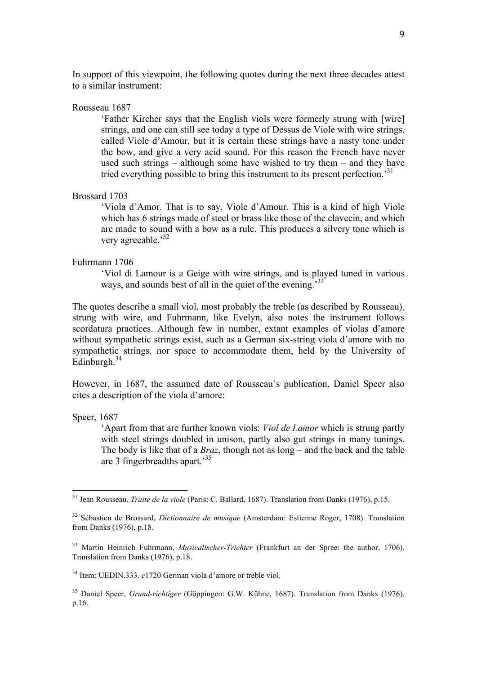In support of this viewpoint, the following quotes during the next three decades attest to a similar instrument:

## Rousseau 1687

'Father Kircher says that the English viols were formerly strung with [wire] strings, and one can still see today a type of Dessus de Viole with wire strings, called Viole d'Amour, but it is certain these strings have a nasty tone under the bow, and give a very acid sound. For this reason the French have never used such strings – although some have wished to try them – and they have tried everything possible to bring this instrument to its present perfection.<sup>31</sup>

### Brossard 1703

'Viola d'Amor. That is to say, Viole d'Amour. This is a kind of high Viole which has 6 strings made of steel or brass like those of the clavecin, and which are made to sound with a bow as a rule. This produces a silvery tone which is very agreeable.<sup>32</sup>

### Fuhrmann 1706

'Viol di Lamour is a Geige with wire strings, and is played tuned in various ways, and sounds best of all in the quiet of the evening.<sup>333</sup>

The quotes describe a small viol, most probably the treble (as described by Rousseau), strung with wire, and Fuhrmann, like Evelyn, also notes the instrument follows scordatura practices. Although few in number, extant examples of violas d'amore without sympathetic strings exist, such as a German six-string viola d'amore with no sympathetic strings, nor space to accommodate them, held by the University of Edinburgh. 34

However, in 1687, the assumed date of Rousseau's publication, Daniel Speer also cites a description of the viola d'amore:

Speer, 1687

'Apart from that are further known viols: *Viol de l.amor* which is strung partly with steel strings doubled in unison, partly also gut strings in many tunings. The body is like that of a *Braz*, though not as long – and the back and the table are 3 fingerbreadths apart.'35

<sup>34</sup> Item: UEDIN.333. *c*1720 German viola d'amore or treble viol.

<sup>35</sup> Daniel Speer, *Grund-richtiger* (Göppingen: G.W. Kühne, 1687). Translation from Danks (1976), p.16.

 <sup>31</sup> Jean Rousseau, *Traite de la viole* (Paris: C. Ballard, 1687). Translation from Danks (1976), p.15.

<sup>32</sup> Sébastien de Brossard, *Dictionnaire de musique* (Amsterdam: Estienne Roger, 1708). Translation from Danks (1976), p.18.

<sup>33</sup> Martin Heinrich Fuhrmann, *Musicalischer-Trichter* (Frankfurt an der Spree: the author, 1706). Translation from Danks (1976), p.18.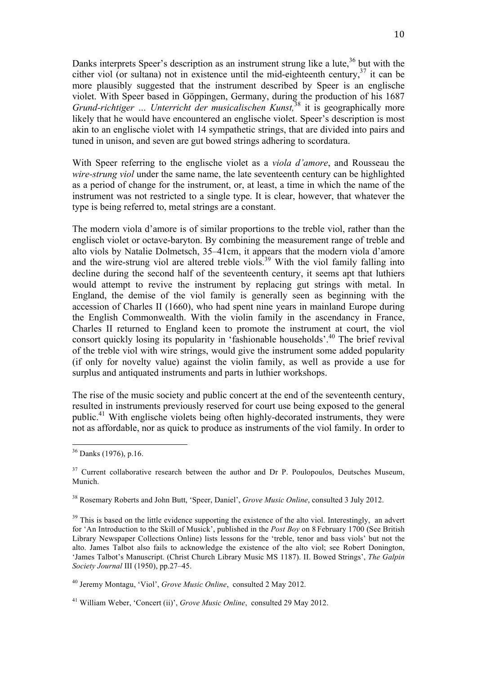Danks interprets Speer's description as an instrument strung like a lute,  $36$  but with the cither viol (or sultana) not in existence until the mid-eighteenth century,<sup>37</sup> it can be more plausibly suggested that the instrument described by Speer is an englische violet. With Speer based in Göppingen, Germany, during the production of his 1687 *Grund-richtiger … Unterricht der musicalischen Kunst,*<sup>38</sup> it is geographically more likely that he would have encountered an englische violet. Speer's description is most akin to an englische violet with 14 sympathetic strings, that are divided into pairs and tuned in unison, and seven are gut bowed strings adhering to scordatura.

With Speer referring to the englische violet as a *viola d'amore*, and Rousseau the *wire-strung viol* under the same name, the late seventeenth century can be highlighted as a period of change for the instrument, or, at least, a time in which the name of the instrument was not restricted to a single type. It is clear, however, that whatever the type is being referred to, metal strings are a constant.

The modern viola d'amore is of similar proportions to the treble viol, rather than the englisch violet or octave-baryton. By combining the measurement range of treble and alto viols by Natalie Dolmetsch, 35–41cm, it appears that the modern viola d'amore and the wire-strung viol are altered treble viols.<sup>39</sup> With the viol family falling into decline during the second half of the seventeenth century, it seems apt that luthiers would attempt to revive the instrument by replacing gut strings with metal. In England, the demise of the viol family is generally seen as beginning with the accession of Charles II (1660), who had spent nine years in mainland Europe during the English Commonwealth. With the violin family in the ascendancy in France, Charles II returned to England keen to promote the instrument at court, the viol consort quickly losing its popularity in 'fashionable households'.<sup>40</sup> The brief revival of the treble viol with wire strings, would give the instrument some added popularity (if only for novelty value) against the violin family, as well as provide a use for surplus and antiquated instruments and parts in luthier workshops.

The rise of the music society and public concert at the end of the seventeenth century, resulted in instruments previously reserved for court use being exposed to the general public.41 With englische violets being often highly-decorated instruments, they were not as affordable, nor as quick to produce as instruments of the viol family. In order to

 <sup>36</sup> Danks (1976), p.16.

 $37$  Current collaborative research between the author and Dr P. Poulopoulos, Deutsches Museum, Munich.

<sup>38</sup> Rosemary Roberts and John Butt, 'Speer, Daniel', *Grove Music Online*, consulted 3 July 2012.

<sup>&</sup>lt;sup>39</sup> This is based on the little evidence supporting the existence of the alto viol. Interestingly, an advert for 'An Introduction to the Skill of Musick', published in the *Post Boy* on 8 February 1700 (See British Library Newspaper Collections Online) lists lessons for the 'treble, tenor and bass viols' but not the alto. James Talbot also fails to acknowledge the existence of the alto viol; see Robert Donington, 'James Talbot's Manuscript. (Christ Church Library Music MS 1187). II. Bowed Strings', *The Galpin Society Journal* III (1950), pp.27–45.

<sup>40</sup> Jeremy Montagu, 'Viol', *Grove Music Online*, consulted 2 May 2012.

<sup>41</sup> William Weber, 'Concert (ii)', *Grove Music Online*, consulted 29 May 2012.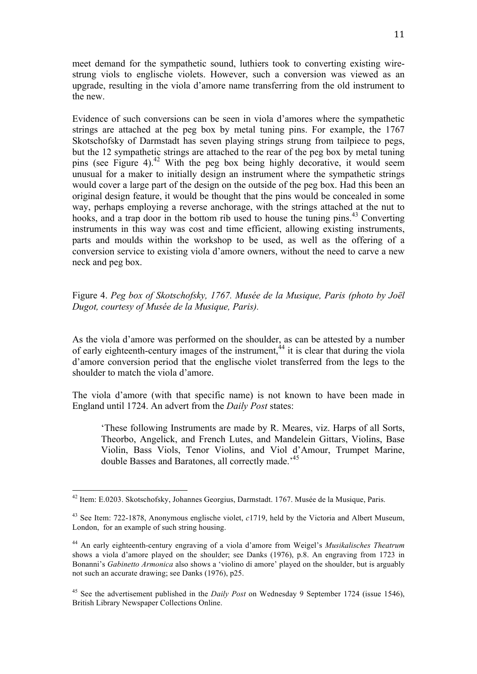meet demand for the sympathetic sound, luthiers took to converting existing wirestrung viols to englische violets. However, such a conversion was viewed as an upgrade, resulting in the viola d'amore name transferring from the old instrument to the new.

Evidence of such conversions can be seen in viola d'amores where the sympathetic strings are attached at the peg box by metal tuning pins. For example, the 1767 Skotschofsky of Darmstadt has seven playing strings strung from tailpiece to pegs, but the 12 sympathetic strings are attached to the rear of the peg box by metal tuning pins (see Figure 4).<sup>42</sup> With the peg box being highly decorative, it would seem unusual for a maker to initially design an instrument where the sympathetic strings would cover a large part of the design on the outside of the peg box. Had this been an original design feature, it would be thought that the pins would be concealed in some way, perhaps employing a reverse anchorage, with the strings attached at the nut to hooks, and a trap door in the bottom rib used to house the tuning pins.<sup>43</sup> Converting instruments in this way was cost and time efficient, allowing existing instruments, parts and moulds within the workshop to be used, as well as the offering of a conversion service to existing viola d'amore owners, without the need to carve a new neck and peg box.

# Figure 4. *Peg box of Skotschofsky, 1767. Musée de la Musique, Paris (photo by Joël Dugot, courtesy of Musée de la Musique, Paris).*

As the viola d'amore was performed on the shoulder, as can be attested by a number of early eighteenth-century images of the instrument,  $44$  it is clear that during the viola d'amore conversion period that the englische violet transferred from the legs to the shoulder to match the viola d'amore.

The viola d'amore (with that specific name) is not known to have been made in England until 1724. An advert from the *Daily Post* states:

'These following Instruments are made by R. Meares, viz. Harps of all Sorts, Theorbo, Angelick, and French Lutes, and Mandelein Gittars, Violins, Base Violin, Bass Viols, Tenor Violins, and Viol d'Amour, Trumpet Marine, double Basses and Baratones, all correctly made.<sup>45</sup>

 <sup>42</sup> Item: E.0203. Skotschofsky, Johannes Georgius, Darmstadt. 1767. Musée de la Musique, Paris.

<sup>43</sup> See Item: 722-1878, Anonymous englische violet, *c*1719, held by the Victoria and Albert Museum, London, for an example of such string housing.

<sup>44</sup> An early eighteenth-century engraving of a viola d'amore from Weigel's *Musikalisches Theatrum* shows a viola d'amore played on the shoulder; see Danks (1976), p.8. An engraving from 1723 in Bonanni's *Gabinetto Armonica* also shows a 'violino di amore' played on the shoulder, but is arguably not such an accurate drawing; see Danks (1976), p25.

<sup>45</sup> See the advertisement published in the *Daily Post* on Wednesday 9 September 1724 (issue 1546), British Library Newspaper Collections Online.